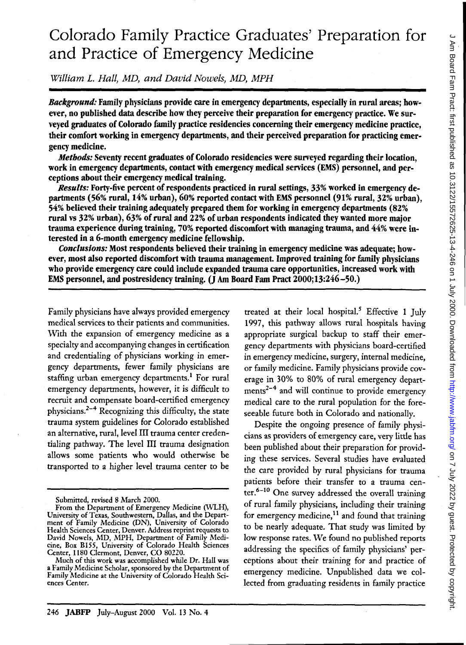# Colorado Family Practice Graduates' Preparation for and Practice of Emergency Medicine

William L. Hall, MD, and David Nowels, MD, MPH

*Background:* Family physicians provide care in emergency departments, especially in rural areas; however, no published data describe how they perceive their preparation for emergency practice. We surveyed graduates of Colorado family practice residencies concerning their emergency medicine practice, their comfort working in emergency departments, and their perceived preparation for practicing emergency medicine.

*Methods:* Seventy recent graduates of Colorado residencies were surveyed regarding their location, work in emergency departments, contact with emergency medical services (EMS) personnel, and perceptions about their emergency medical training.

*Results:* Forty-five percent of respondents practiced in rural settings, 33% worked in emergency departments (56% rural, 14% urban), 60% reported contact with EMS personnel (91% rural, 32% urban), 54% believed their training adequately prepared them for working in emergency departments (82% rural vs 32% urban), 63% of rural and 22% of urban respondents indicated they wanted more major trauma experience during training, 70% reported discomfort with managing trauma, and 44% were interested in a 6-month emergency medicine fellowship.

*Conclusions:* Most respondents believed their training in emergency medicine was adequate; however, most also reported discomfort with trauma management. Improved training for family physicians who provide emergency care could include expanded trauma care opportunities, increased work with EMS personnel, and postresidency training.  $(\bar{J}$  Am Board Fam Pract 2000;13:246-50.)

Family physicians have always provided emergency medical services to their patients and communities. With the expansion of emergency medicine as a specialty and accompanying changes in certification and credentialing of physicians working in emergency departments, fewer family physicians are staffing urban emergency departments.<sup>1</sup> For rural emergency departments, however, it is difficult to recruit and compensate board-certified emergency physicians.<sup>2-4</sup> Recognizing this difficulty, the state trauma system guidelines for Colorado established an alternative, rural, level III trauma center credentialing pathway. The level III trauma designation allows some patients who would otherwise be transported to a higher level trauma center to be

treated at their local hospital.<sup>5</sup> Effective 1 July 1997, this pathway allows rural hospitals having appropriate surgical backup to staff their emergency departments with physicians board-certified in emergency medicine, surgery, internal medicine, or family medicine. Family physicians provide coverage in 30% to 80% of rural emergency departments<sup>2-4</sup> and will continue to provide emergency medical care to the rural population for the foreseeable future both in Colorado and nationally.

Despite the ongoing presence of family physicians as providers of emergency care, very little has been published about their preparation for providing these services. Several studies have evaluated the care provided by rural physicians for trauma patients before their transfer to a trauma center.<sup>6</sup> - 10 One survey addressed the overall training of rural family physicians, including their training for emergency medicine, $11$  and found that training to be nearly adequate. That study was limited by low response rates. We found no published reports addressing the specifics of family physicians' perceptions about their training for and practice of emergency medicine. Unpublished data we collected from graduating residents in family practice

Submitted, revised 8 March 2000.

From the Department of Emergency Medicine (WLH), University of Texas, Southwestern, Dallas, and the Department of Family Medicine (DN), University of Colorado Health Sciences Center, Denver. Address reprint requests to David Nowels, MD, MPH, Department of Family Medicine, Box B155, University of Colorado Health Sciences Center, 1180 Clermont, Denver, CO 80220.

Much of this work was accomplished while Dr. Hall was a Family Medicine Scholar, sponsored by the Department of Family Medicine at the University of Colorado Health Sci- ences Center.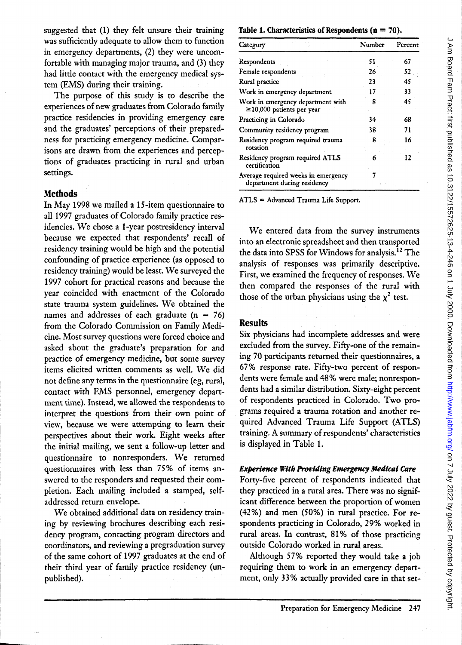suggested that (1) they felt unsure their training was sufficiently adequate to allow them to function in emergency departments, (2) they were uncomfortable with managing major trauma, and (3) they had little contact with the emergency medical system (EMS) during their training.

The purpose of this study is to describe the experiences of new graduates from Colorado family practice residencies in providing emergency care and the graduates' perceptions of their preparedness for practicing emergency medicine. Comparisons are drawn from the experiences and perceptions of graduates practicing in rural and urban settings.

## Methods

In May 1998 we mailed a IS-item questionnaire to all 1997 graduates of Colorado family practice residencies. We chose a I-year postresidency interval because we expected that respondents' recall of residency training would be high and the potential confounding of practice experience (as opposed to residency training) would be least. We surveyed the 1997 cohort for practical reasons and because the year coincided with enactment of the Colorado state trauma system guidelines. We obtained the names and addresses of each graduate  $(n = 76)$ from the Colorado Commission on Family Medicine. Most survey questions were forced choice and asked about the graduate's preparation for and practice of emergency medicine, but some survey items elicited written comments as well. We did not define any terms in the questionnaire (eg, rural, contact with EMS personnel, emergency department time). Instead, we allowed the respondents to interpret the questions from their own point of view, because we were attempting to learn their perspectives about their work. Eight weeks after the initial mailing, we sent a follow-up letter and questionnaire to nonresponders. We returned questionnaires with less than 75% of items answered to the responders and requested their completion. Each mailing included a stamped, selfaddressed return envelope.

We obtained additional data on residency training by reviewing brochures describing each residency program, contacting program directors and coordinators, and reviewing a pregraduation survey of the same cohort of 1997 graduates at the end of their third year of family practice residency (unpublished).

Table 1. Characteristics of Respondents ( $n = 70$ ).

| Category                                                             | Number | Percent |
|----------------------------------------------------------------------|--------|---------|
| Respondents                                                          | 51     | 67      |
| Female respondents                                                   | 26     | 52      |
| Rural practice                                                       | 23     | 45      |
| Work in emergency department                                         | 17     | 33      |
| Work in emergency department with<br>$\geq$ 10,000 patients per year | 8      | 45      |
| Practicing in Colorado                                               | 34     | 68      |
| Community residency program                                          | 38     | 71      |
| Residency program required trauma<br>rotation                        | 8      | 16      |
| Residency program required ATLS<br>certification                     |        | 12      |
| Average required weeks in emergency<br>department during residency   |        |         |

ATLS = Advanced Trauma Life Support.

We entered data from the survey instruments into an electronic spreadsheet and then transported the data into SPSS for Windows for analysis. 12 The analysis of responses was primarily descriptive. First, we examined the frequency of responses. \Ve then compared the responses of the rural with those of the urban physicians using the  $\chi^2$  test.

#### Results

Six physicians had incomplete addresses and were excluded from the survey. Fifty-one of the remaining 70 participants returned their questionnaires, a 67% response rate. Fifty-two percent of respondents were female and 48% were male; nonrespondents had a similar distribution. Sixty-eight percent of respondents practiced in Colorado. Two programs required a trauma rotation and another required Advanced Trauma Life Support (ATLS) training. A summary of respondents' characteristics is displayed in Table 1.

#### Experience *With* Providing *Emergency* Medical Care

Forty-five percent of respondents indicated that they practiced in a rural area. There was no significant difference between the proportion of women (42%) and men (50%) in rural practice. For respondents practicing in Colorado, 29% worked in rural areas. In contrast, 81% of those practicing outside Colorado worked in rural areas.

Although 57% reported they would take a job requiring them to work in an emergency department, only 33% actually provided care in that set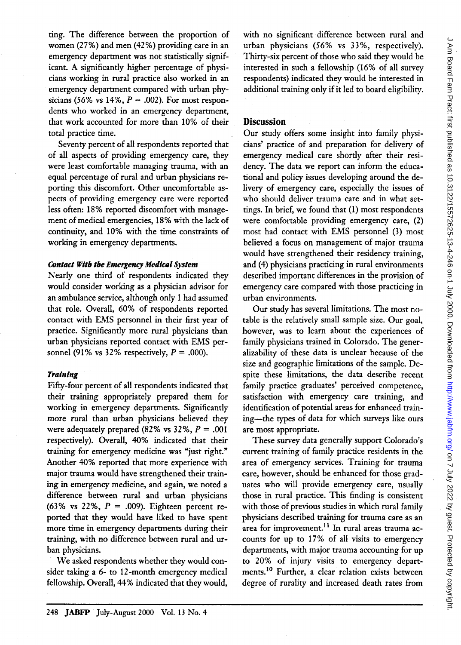ting. The difference between the proportion of women (27%) and men (42%) providing care in an emergency department was not statistically significant. A significantly higher percentage of physicians working in rural practice also worked in an emergency department compared with urban physicians (56% vs 14%, *P* = .002). For most respondents who worked in an emergency department, that work accounted for more than 10% of their total practice time.

Seventy percent of all respondents reported that of all aspects of providing emergency care, they were least comfortable managing trauma, with an equal percentage of rural and urban physicians reporting this discomfort. Other uncomfortable aspects of providing emergency care were reported less often: 18% reported discomfort with management of medical emergencies, 18% with the lack of continuity, and 10% with the time constraints of working in emergency departments.

#### *Contact With the* Emergency *Medical System*

Nearly one third of respondents indicated they would consider working as a physician advisor for an ambulance service, although only 1 had assumed that role. Overall, 60% of respondents reported contact with EMS personnel in their first year of practice. Significantly more rural physicians than urban physicians reported contact with EMS personnel (91% vs 32% respectively,  $P = .000$ ).

### *Training*

Fifty-four percent of all respondents indicated that their training appropriately prepared them for working in emergency departments. Significantly more rural than urban physicians believed they were adequately prepared (82% vs  $32\%$ ,  $P = .001$ respectively). Overall, 40% indicated that their training for emergency medicine was "just right." Another 40% reported that more experience with major trauma would have strengthened their training in emergency medicine, and again, we noted a difference between rural and urban physicians (63% vs 22%,  $P = .009$ ). Eighteen percent reported that they would have liked to have spent more time in emergency departments during their training, with no difference between rural and urban physicians.

We asked respondents whether they would consider taking a 6- to 12-month emergency medical fellowship. Overall, 44% indicated that they would, with no significant· difference between rural and urban physicians (56% vs 33%, respectively). Thirty-six percent of those who said they would be interested in such a fellowship (16% of all survey respondents) indicated they would be interested in additional training only if it led to board eligibility.

## **Discussion**

Our study offers some insight into family physicians' practice of and preparation for delivery of emergency medical care shortly after their residency. The data we report can inform the educational and policy issues developing around the delivery of emergency care, especially the issues of who should deliver trauma care and in what settings. In brief, we found that (1) most respondents were comfortable providing emergency care, (2) most had contact with EMS personnel (3) most believed a focus on management of major trauma would have strengthened their residency training, and (4) physicians practicing in rural environments described important differences in the provision of emergency care compared with those practicing in urban environments.

Our study has several limitations. The most notable is the relatively small sample size. Our goal, however, was to learn about the experiences of family physicians trained in Colorado. The generalizability of these data is unclear because of the size and geographic limitations of the sample. Despite these limitations, the data describe recent family practice graduates' perceived competence, satisfaction with emergency care training, and identification of potential areas for enhanced training-the types of data for which surveys like ours are most appropriate.

These survey data generally support Colorado's current training of family practice residents in the area of emergency services. Training for trauma care, however, should be enhanced for those graduates who will provide emergency care, usually those in rural practice. This finding is consistent with those of previous studies in which rural family physicians described training for trauma care as an area for improvement.<sup>11</sup> In rural areas trauma accounts for up to 17% of all visits to emergency departments, with major trauma accounting for up to 20% of injury visits to emergency departments.<sup>10</sup> Further, a clear relation exists between degree of rurality and increased death rates from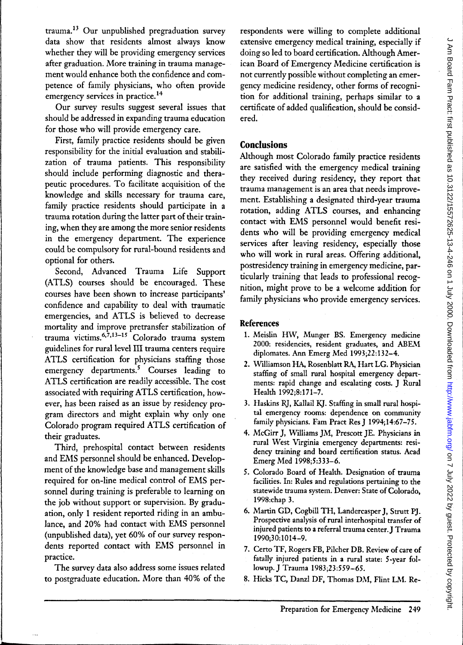$tramma<sup>13</sup>$  Our unpublished pregraduation survey data show that residents almost always know whether they will be providing emergency services after graduation. More training in trauma management would enhance both the confidence and competence of family physicians, who often provide emergency services in practice.<sup>14</sup>

Our survey results suggest several issues that should be addressed in expanding trauma education for those who will provide emergency care.

First, family practice residents should be given responsibility for the initial evaluation and stabilization of trauma patients. This responsibility should include performing diagnostic and therapeutic procedures. To facilitate acquisition of the knowledge and skills necessary for trauma care, family practice residents should participate in a trauma rotation during the latter part of their training, when they are among the more senior residents in the emergency department. The experience could be compulsory for rural-bound residents and optional for others.

Second, Advanced Trauma Life Support (ATLS) courses should be encouraged. These courses have been shown to increase participants' confidence and capability to deal with traumatic emergencies, and ATLS is believed to decrease mortality and improve pretransfer stabilization of trauma victims.6,7,13-15 Colorado trauma system guidelines for rural level **III** trauma centers require ATLS certification for physicians staffing those emergency departments.<sup>5</sup> Courses leading to ATLS certification are readily accessible. The cost associated with requiring ATLS certification, however, has been raised as an issue by residency program directors and might explain why only one Colorado program required ATLS certification of their graduates.

Third, prehospital contact between residents and EMS personnel should be enhanced. Development of the knowledge base and management skills required for on-line medical control of EMS personnel during training is preferable to learning on the job without support or supervision. By graduation, only 1 resident reported riding in an ambulance, and 20% had contact with EMS personnel (unpublished data), yet 60% of our survey respondents reported contact with EMS personnel in practice.

The survey data also address some issues related to postgraduate education. More than 40% of the respondents were willing to complete additional extensive emergency medical training, especially if doing so led to board certification. Although American Board of Emergency Medicine certification is not currently possible without completing an emergency medicine residency, other forms of recognition for additional training, perhaps similar to a certificate of added qualification, should be considered.

# **Conclusions**

Although most Colorado family practice residents are satisfied with the emergency medical training they received during residency, they report that trauma management is an area that needs improvement. Establishing a designated third-year trauma rotation, adding ATLS courses, and enhancing contact with EMS personnel would benefit residents who will be providing emergency medical services after leaving residency, especially those who will work in rural areas. Offering additional, postresidency training in emergency medicine, particularly training that leads to professional recognition, might prove to be a welcome addition for family physicians who provide emergency services.

# **References**

- 1. Meislin HW, Munger BS. Emergency medicine 2000: residencies, resident graduates, and ABEM diplomates. Ann Emerg Med 1993;22:132-4.
- 2. Williamson HA, Rosenblatt RA, Hart LG. Physician staffing of small rural hospital emergency departments: rapid change and escalating costs. } Rural Health 1992;8:171-7.
- 3. Haskins R], Kallail K]. Staffing in small rural hospital emergency rooms: dependence on community family physicians. Fam Pract Res J 1994;14:67-75.
- 4. McGirr J, Williams ]M, Prescott JE. Physicians in rural West Virginia emergency departments: residency training and board certification status. Acad Emerg Med 1998;5:333-6.
- 5. Colorado Board of Health. Designation of trauma facilities. In: Rules and regulations pertaining to the statewide trauma system. Denver: State of Colorado, 1998:chap 3.
- 6. Martin GD, Cogbill TH, Landercasper], Strutt Pl. Prospective analysis of rural interhospital transfer of injured patients to a referral trauma center.] Trauma 1990;30:1014-9.
- 7. Certo TF, Rogers FB, Pilcher DB. Review of care of fatally injured patients in a rural state: 5-year followup.] Trauma 1983;23:559-65.
- 8. Hicks TC, Danzl DF, Thomas DM, Flint LM. Re-